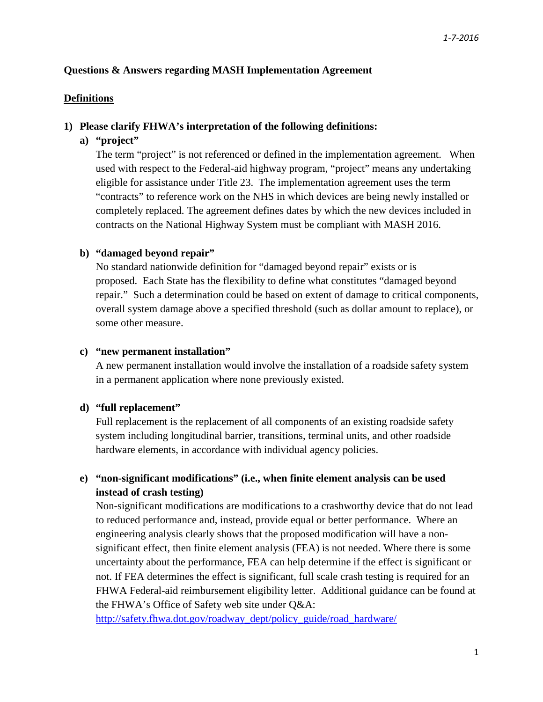### **Questions & Answers regarding MASH Implementation Agreement**

### **Definitions**

#### **1) Please clarify FHWA's interpretation of the following definitions:**

### **a) "project"**

The term "project" is not referenced or defined in the implementation agreement. When used with respect to the Federal-aid highway program, "project" means any undertaking eligible for assistance under Title 23. The implementation agreement uses the term "contracts" to reference work on the NHS in which devices are being newly installed or completely replaced. The agreement defines dates by which the new devices included in contracts on the National Highway System must be compliant with MASH 2016.

#### **b) "damaged beyond repair"**

No standard nationwide definition for "damaged beyond repair" exists or is proposed. Each State has the flexibility to define what constitutes "damaged beyond repair." Such a determination could be based on extent of damage to critical components, overall system damage above a specified threshold (such as dollar amount to replace), or some other measure.

#### **c) "new permanent installation"**

A new permanent installation would involve the installation of a roadside safety system in a permanent application where none previously existed.

### **d) "full replacement"**

Full replacement is the replacement of all components of an existing roadside safety system including longitudinal barrier, transitions, terminal units, and other roadside hardware elements, in accordance with individual agency policies.

## **e) "non-significant modifications" (i.e., when finite element analysis can be used instead of crash testing)**

Non-significant modifications are modifications to a crashworthy device that do not lead to reduced performance and, instead, provide equal or better performance. Where an engineering analysis clearly shows that the proposed modification will have a nonsignificant effect, then finite element analysis (FEA) is not needed. Where there is some uncertainty about the performance, FEA can help determine if the effect is significant or not. If FEA determines the effect is significant, full scale crash testing is required for an FHWA Federal-aid reimbursement eligibility letter. Additional guidance can be found at the FHWA's Office of Safety web site under Q&A:

[http://safety.fhwa.dot.gov/roadway\\_dept/policy\\_guide/road\\_hardware/](http://safety.fhwa.dot.gov/roadway_dept/policy_guide/road_hardware/)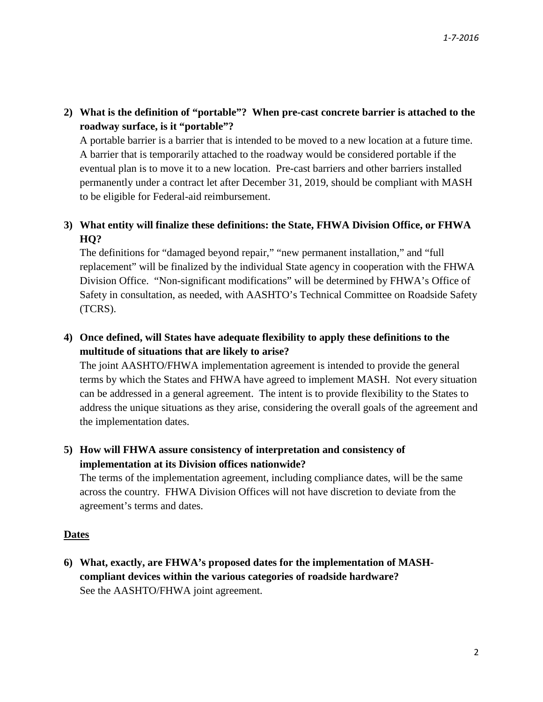**2) What is the definition of "portable"? When pre-cast concrete barrier is attached to the roadway surface, is it "portable"?** 

A portable barrier is a barrier that is intended to be moved to a new location at a future time. A barrier that is temporarily attached to the roadway would be considered portable if the eventual plan is to move it to a new location. Pre-cast barriers and other barriers installed permanently under a contract let after December 31, 2019, should be compliant with MASH to be eligible for Federal-aid reimbursement.

# **3) What entity will finalize these definitions: the State, FHWA Division Office, or FHWA HQ?**

The definitions for "damaged beyond repair," "new permanent installation," and "full replacement" will be finalized by the individual State agency in cooperation with the FHWA Division Office. "Non-significant modifications" will be determined by FHWA's Office of Safety in consultation, as needed, with AASHTO's Technical Committee on Roadside Safety (TCRS).

# **4) Once defined, will States have adequate flexibility to apply these definitions to the multitude of situations that are likely to arise?**

The joint AASHTO/FHWA implementation agreement is intended to provide the general terms by which the States and FHWA have agreed to implement MASH. Not every situation can be addressed in a general agreement. The intent is to provide flexibility to the States to address the unique situations as they arise, considering the overall goals of the agreement and the implementation dates.

## **5) How will FHWA assure consistency of interpretation and consistency of implementation at its Division offices nationwide?**

The terms of the implementation agreement, including compliance dates, will be the same across the country. FHWA Division Offices will not have discretion to deviate from the agreement's terms and dates.

### **Dates**

**6) What, exactly, are FHWA's proposed dates for the implementation of MASHcompliant devices within the various categories of roadside hardware?**  See the AASHTO/FHWA joint agreement.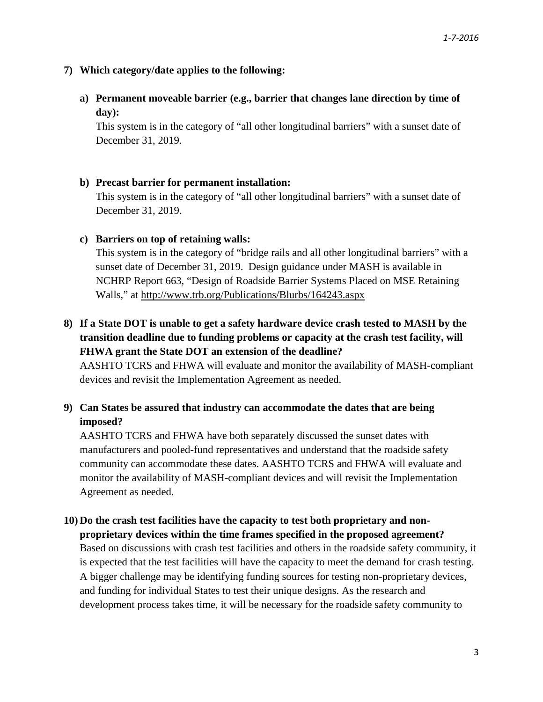### **7) Which category/date applies to the following:**

**a) Permanent moveable barrier (e.g., barrier that changes lane direction by time of day):** 

This system is in the category of "all other longitudinal barriers" with a sunset date of December 31, 2019.

### **b) Precast barrier for permanent installation:**

This system is in the category of "all other longitudinal barriers" with a sunset date of December 31, 2019.

#### **c) Barriers on top of retaining walls:**

This system is in the category of "bridge rails and all other longitudinal barriers" with a sunset date of December 31, 2019. Design guidance under MASH is available in NCHRP Report 663, "Design of Roadside Barrier Systems Placed on MSE Retaining Walls," at<http://www.trb.org/Publications/Blurbs/164243.aspx>

# **8) If a State DOT is unable to get a safety hardware device crash tested to MASH by the transition deadline due to funding problems or capacity at the crash test facility, will FHWA grant the State DOT an extension of the deadline?**

AASHTO TCRS and FHWA will evaluate and monitor the availability of MASH-compliant devices and revisit the Implementation Agreement as needed.

## **9) Can States be assured that industry can accommodate the dates that are being imposed?**

AASHTO TCRS and FHWA have both separately discussed the sunset dates with manufacturers and pooled-fund representatives and understand that the roadside safety community can accommodate these dates. AASHTO TCRS and FHWA will evaluate and monitor the availability of MASH-compliant devices and will revisit the Implementation Agreement as needed.

### **10) Do the crash test facilities have the capacity to test both proprietary and nonproprietary devices within the time frames specified in the proposed agreement?**

Based on discussions with crash test facilities and others in the roadside safety community, it is expected that the test facilities will have the capacity to meet the demand for crash testing. A bigger challenge may be identifying funding sources for testing non-proprietary devices, and funding for individual States to test their unique designs. As the research and development process takes time, it will be necessary for the roadside safety community to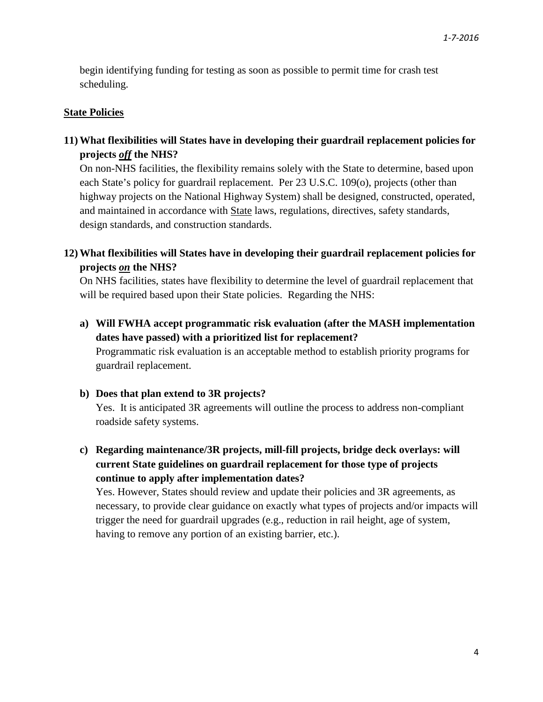begin identifying funding for testing as soon as possible to permit time for crash test scheduling.

#### **State Policies**

## **11) What flexibilities will States have in developing their guardrail replacement policies for projects** *off* **the NHS?**

On non-NHS facilities, the flexibility remains solely with the State to determine, based upon each State's policy for guardrail replacement. Per 23 U.S.C. 109(o), projects (other than highway projects on the National Highway System) shall be designed, constructed, operated, and maintained in accordance with State laws, regulations, directives, safety standards, design standards, and construction standards.

## **12) What flexibilities will States have in developing their guardrail replacement policies for projects** *on* **the NHS?**

On NHS facilities, states have flexibility to determine the level of guardrail replacement that will be required based upon their State policies. Regarding the NHS:

**a) Will FWHA accept programmatic risk evaluation (after the MASH implementation dates have passed) with a prioritized list for replacement?**  Programmatic risk evaluation is an acceptable method to establish priority programs for guardrail replacement.

#### **b) Does that plan extend to 3R projects?**

Yes. It is anticipated 3R agreements will outline the process to address non-compliant roadside safety systems.

**c) Regarding maintenance/3R projects, mill-fill projects, bridge deck overlays: will current State guidelines on guardrail replacement for those type of projects continue to apply after implementation dates?**

Yes. However, States should review and update their policies and 3R agreements, as necessary, to provide clear guidance on exactly what types of projects and/or impacts will trigger the need for guardrail upgrades (e.g., reduction in rail height, age of system, having to remove any portion of an existing barrier, etc.).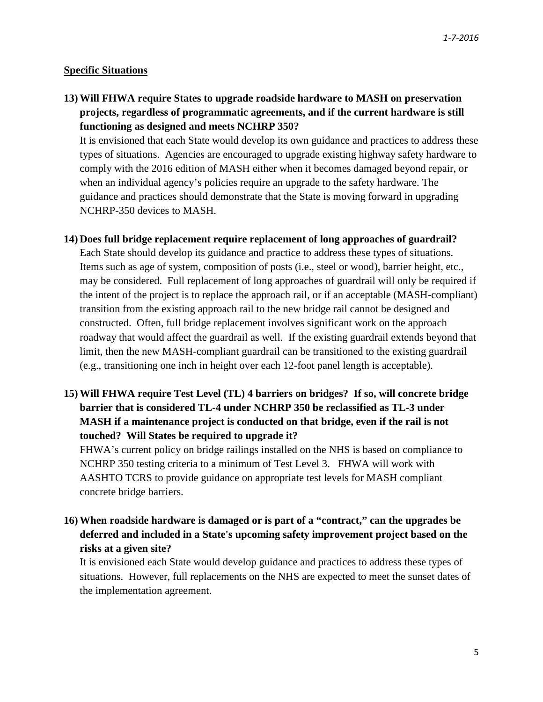### **Specific Situations**

**13) Will FHWA require States to upgrade roadside hardware to MASH on preservation projects, regardless of programmatic agreements, and if the current hardware is still functioning as designed and meets NCHRP 350?** 

It is envisioned that each State would develop its own guidance and practices to address these types of situations. Agencies are encouraged to upgrade existing highway safety hardware to comply with the 2016 edition of MASH either when it becomes damaged beyond repair, or when an individual agency's policies require an upgrade to the safety hardware. The guidance and practices should demonstrate that the State is moving forward in upgrading NCHRP-350 devices to MASH.

**14) Does full bridge replacement require replacement of long approaches of guardrail?** 

Each State should develop its guidance and practice to address these types of situations. Items such as age of system, composition of posts (i.e., steel or wood), barrier height, etc., may be considered. Full replacement of long approaches of guardrail will only be required if the intent of the project is to replace the approach rail, or if an acceptable (MASH-compliant) transition from the existing approach rail to the new bridge rail cannot be designed and constructed.Often, full bridge replacement involves significant work on the approach roadway that would affect the guardrail as well. If the existing guardrail extends beyond that limit, then the new MASH-compliant guardrail can be transitioned to the existing guardrail (e.g., transitioning one inch in height over each 12-foot panel length is acceptable).

**15) Will FHWA require Test Level (TL) 4 barriers on bridges? If so, will concrete bridge barrier that is considered TL-4 under NCHRP 350 be reclassified as TL-3 under MASH if a maintenance project is conducted on that bridge, even if the rail is not touched? Will States be required to upgrade it?** 

FHWA's current policy on bridge railings installed on the NHS is based on compliance to NCHRP 350 testing criteria to a minimum of Test Level 3. FHWA will work with AASHTO TCRS to provide guidance on appropriate test levels for MASH compliant concrete bridge barriers.

**16) When roadside hardware is damaged or is part of a "contract," can the upgrades be deferred and included in a State's upcoming safety improvement project based on the risks at a given site?** 

It is envisioned each State would develop guidance and practices to address these types of situations. However, full replacements on the NHS are expected to meet the sunset dates of the implementation agreement.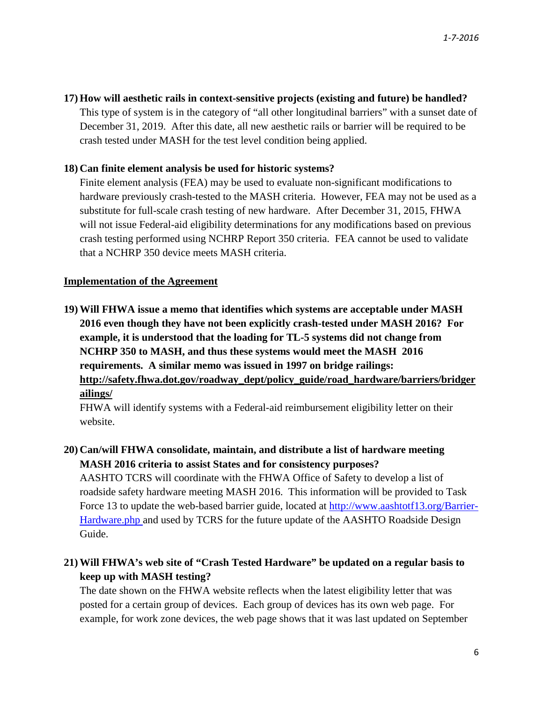#### **17) How will aesthetic rails in context-sensitive projects (existing and future) be handled?**

This type of system is in the category of "all other longitudinal barriers" with a sunset date of December 31, 2019. After this date, all new aesthetic rails or barrier will be required to be crash tested under MASH for the test level condition being applied.

### **18) Can finite element analysis be used for historic systems?**

Finite element analysis (FEA) may be used to evaluate non-significant modifications to hardware previously crash-tested to the MASH criteria. However, FEA may not be used as a substitute for full-scale crash testing of new hardware. After December 31, 2015, FHWA will not issue Federal-aid eligibility determinations for any modifications based on previous crash testing performed using NCHRP Report 350 criteria. FEA cannot be used to validate that a NCHRP 350 device meets MASH criteria.

#### **Implementation of the Agreement**

**19) Will FHWA issue a memo that identifies which systems are acceptable under MASH 2016 even though they have not been explicitly crash-tested under MASH 2016? For example, it is understood that the loading for TL-5 systems did not change from NCHRP 350 to MASH, and thus these systems would meet the MASH 2016 requirements. A similar memo was issued in 1997 on bridge railings: [http://safety.fhwa.dot.gov/roadway\\_dept/policy\\_guide/road\\_hardware/barriers/bridger](http://safety.fhwa.dot.gov/roadway_dept/policy_guide/road_hardware/barriers/bridgerailings/) [ailings/](http://safety.fhwa.dot.gov/roadway_dept/policy_guide/road_hardware/barriers/bridgerailings/)** 

FHWA will identify systems with a Federal-aid reimbursement eligibility letter on their website.

## **20) Can/will FHWA consolidate, maintain, and distribute a list of hardware meeting MASH 2016 criteria to assist States and for consistency purposes?**

AASHTO TCRS will coordinate with the FHWA Office of Safety to develop a list of roadside safety hardware meeting MASH 2016. This information will be provided to Task Force 13 to update the web-based barrier guide, located at [http://www.aashtotf13.org/Barrier-](http://www.aashtotf13.org/Barrier-Hardware.php)[Hardware.php](http://www.aashtotf13.org/Barrier-Hardware.php) and used by TCRS for the future update of the AASHTO Roadside Design Guide.

# **21) Will FHWA's web site of "Crash Tested Hardware" be updated on a regular basis to keep up with MASH testing?**

The date shown on the FHWA website reflects when the latest eligibility letter that was posted for a certain group of devices. Each group of devices has its own web page. For example, for work zone devices, the web page shows that it was last updated on September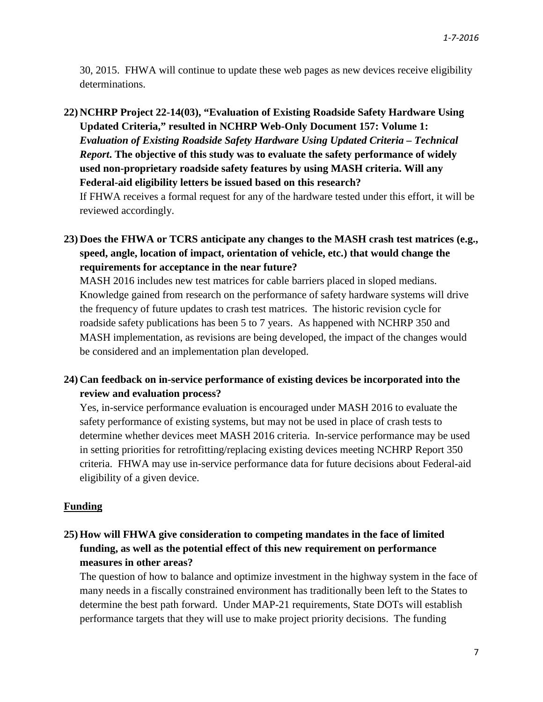30, 2015. FHWA will continue to update these web pages as new devices receive eligibility determinations.

**22) NCHRP Project 22-14(03), "Evaluation of Existing Roadside Safety Hardware Using Updated Criteria," resulted in NCHRP Web-Only Document 157: Volume 1:**  *Evaluation of Existing Roadside Safety Hardware Using Updated Criteria – Technical Report***. The objective of this study was to evaluate the safety performance of widely used non-proprietary roadside safety features by using MASH criteria. Will any Federal-aid eligibility letters be issued based on this research?** 

If FHWA receives a formal request for any of the hardware tested under this effort, it will be reviewed accordingly.

**23) Does the FHWA or TCRS anticipate any changes to the MASH crash test matrices (e.g., speed, angle, location of impact, orientation of vehicle, etc.) that would change the requirements for acceptance in the near future?** 

MASH 2016 includes new test matrices for cable barriers placed in sloped medians. Knowledge gained from research on the performance of safety hardware systems will drive the frequency of future updates to crash test matrices. The historic revision cycle for roadside safety publications has been 5 to 7 years. As happened with NCHRP 350 and MASH implementation, as revisions are being developed, the impact of the changes would be considered and an implementation plan developed.

## **24) Can feedback on in-service performance of existing devices be incorporated into the review and evaluation process?**

Yes, in-service performance evaluation is encouraged under MASH 2016 to evaluate the safety performance of existing systems, but may not be used in place of crash tests to determine whether devices meet MASH 2016 criteria. In-service performance may be used in setting priorities for retrofitting/replacing existing devices meeting NCHRP Report 350 criteria. FHWA may use in-service performance data for future decisions about Federal-aid eligibility of a given device.

#### **Funding**

**25) How will FHWA give consideration to competing mandates in the face of limited funding, as well as the potential effect of this new requirement on performance measures in other areas?** 

The question of how to balance and optimize investment in the highway system in the face of many needs in a fiscally constrained environment has traditionally been left to the States to determine the best path forward. Under MAP-21 requirements, State DOTs will establish performance targets that they will use to make project priority decisions. The funding